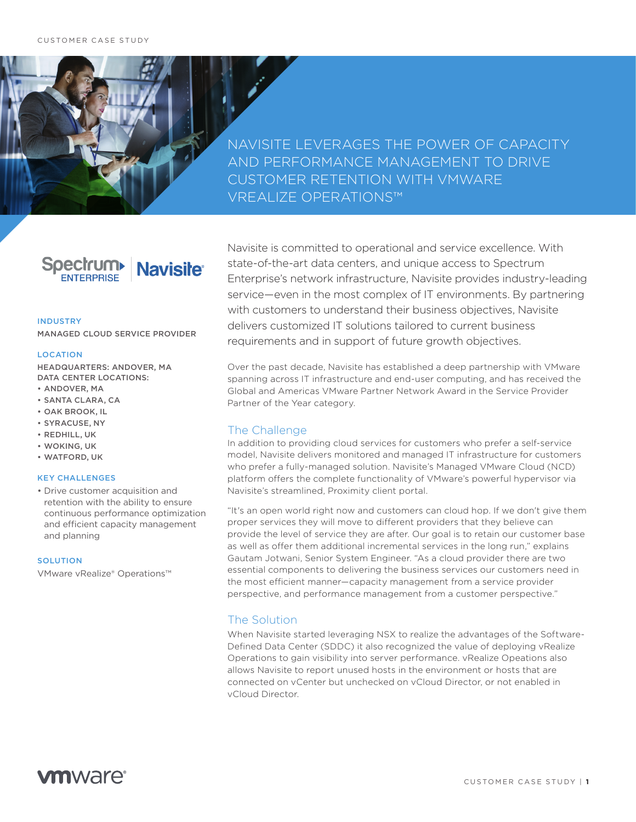NAVISITE LEVERAGES THE POWER OF CAPACITY AND PERFORMANCE MANAGEMENT TO DRIVE CUSTOMER RETENTION WITH VMWARE VREALIZE OPERATIONS™

# Spectrum Navisite®

#### INDUSTRY

MANAGED CLOUD SERVICE PROVIDER

#### LOCATION

HEADQUARTERS: ANDOVER, MA DATA CENTER LOCATIONS:

- ANDOVER, MA
- SANTA CLARA, CA
- OAK BROOK, IL
- SYRACUSE, NY
- REDHILL, UK
- WOKING, UK
- WATFORD, UK

# KEY CHALLENGES

• Drive customer acquisition and retention with the ability to ensure continuous performance optimization and efficient capacity management and planning

#### **SOLUTION**

VMware vRealize® Operations™

Navisite is committed to operational and service excellence. With state-of-the-art data centers, and unique access to Spectrum Enterprise's network infrastructure, Navisite provides industry-leading service—even in the most complex of IT environments. By partnering with customers to understand their business objectives, Navisite delivers customized IT solutions tailored to current business requirements and in support of future growth objectives.

Over the past decade, Navisite has established a deep partnership with VMware spanning across IT infrastructure and end-user computing, and has received the Global and Americas VMware Partner Network Award in the Service Provider Partner of the Year category.

# The Challenge

In addition to providing cloud services for customers who prefer a self-service model, Navisite delivers monitored and managed IT infrastructure for customers who prefer a fully-managed solution. Navisite's Managed VMware Cloud (NCD) platform offers the complete functionality of VMware's powerful hypervisor via Navisite's streamlined, Proximity client portal.

"It's an open world right now and customers can cloud hop. If we don't give them proper services they will move to different providers that they believe can provide the level of service they are after. Our goal is to retain our customer base as well as offer them additional incremental services in the long run," explains Gautam Jotwani, Senior System Engineer. "As a cloud provider there are two essential components to delivering the business services our customers need in the most efficient manner—capacity management from a service provider perspective, and performance management from a customer perspective."

# The Solution

When Navisite started leveraging NSX to realize the advantages of the Software-Defined Data Center (SDDC) it also recognized the value of deploying vRealize Operations to gain visibility into server performance. vRealize Opeations also allows Navisite to report unused hosts in the environment or hosts that are connected on vCenter but unchecked on vCloud Director, or not enabled in vCloud Director.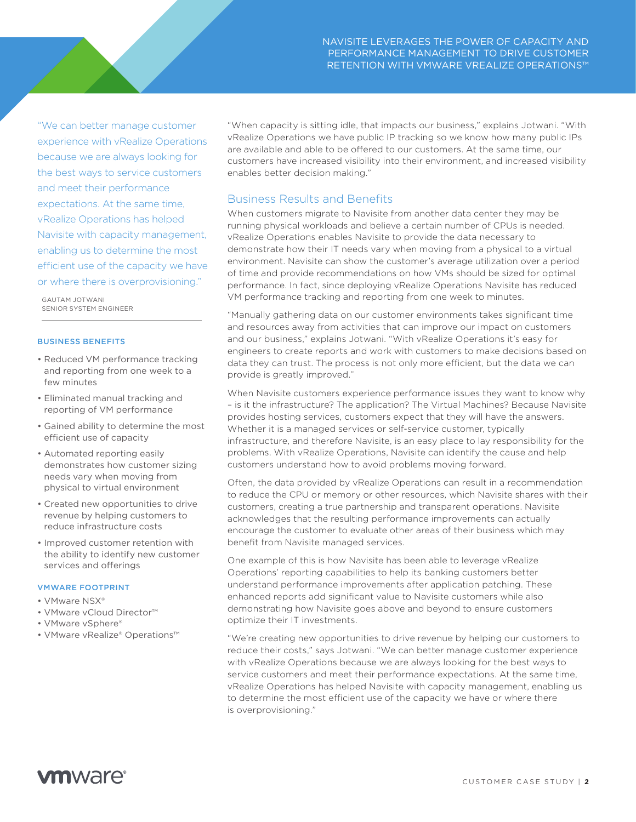"We can better manage customer experience with vRealize Operations because we are always looking for the best ways to service customers and meet their performance expectations. At the same time, vRealize Operations has helped Navisite with capacity management, enabling us to determine the most efficient use of the capacity we have or where there is overprovisioning."

GAUTAM JOTWANI SENIOR SYSTEM ENGINEER

### BUSINESS BENEFITS

- Reduced VM performance tracking and reporting from one week to a few minutes
- Eliminated manual tracking and reporting of VM performance
- Gained ability to determine the most efficient use of capacity
- Automated reporting easily demonstrates how customer sizing needs vary when moving from physical to virtual environment
- Created new opportunities to drive revenue by helping customers to reduce infrastructure costs
- Improved customer retention with the ability to identify new customer services and offerings

## VMWARE FOOTPRINT

- VMware NSX®
- VMware vCloud Director™
- VMware vSphere®
- VMware vRealize® Operations™

"When capacity is sitting idle, that impacts our business," explains Jotwani. "With vRealize Operations we have public IP tracking so we know how many public IPs are available and able to be offered to our customers. At the same time, our customers have increased visibility into their environment, and increased visibility enables better decision making."

# Business Results and Benefits

When customers migrate to Navisite from another data center they may be running physical workloads and believe a certain number of CPUs is needed. vRealize Operations enables Navisite to provide the data necessary to demonstrate how their IT needs vary when moving from a physical to a virtual environment. Navisite can show the customer's average utilization over a period of time and provide recommendations on how VMs should be sized for optimal performance. In fact, since deploying vRealize Operations Navisite has reduced VM performance tracking and reporting from one week to minutes.

"Manually gathering data on our customer environments takes significant time and resources away from activities that can improve our impact on customers and our business," explains Jotwani. "With vRealize Operations it's easy for engineers to create reports and work with customers to make decisions based on data they can trust. The process is not only more efficient, but the data we can provide is greatly improved."

When Navisite customers experience performance issues they want to know why – is it the infrastructure? The application? The Virtual Machines? Because Navisite provides hosting services, customers expect that they will have the answers. Whether it is a managed services or self-service customer, typically infrastructure, and therefore Navisite, is an easy place to lay responsibility for the problems. With vRealize Operations, Navisite can identify the cause and help customers understand how to avoid problems moving forward.

Often, the data provided by vRealize Operations can result in a recommendation to reduce the CPU or memory or other resources, which Navisite shares with their customers, creating a true partnership and transparent operations. Navisite acknowledges that the resulting performance improvements can actually encourage the customer to evaluate other areas of their business which may benefit from Navisite managed services.

One example of this is how Navisite has been able to leverage vRealize Operations' reporting capabilities to help its banking customers better understand performance improvements after application patching. These enhanced reports add significant value to Navisite customers while also demonstrating how Navisite goes above and beyond to ensure customers optimize their IT investments.

"We're creating new opportunities to drive revenue by helping our customers to reduce their costs," says Jotwani. "We can better manage customer experience with vRealize Operations because we are always looking for the best ways to service customers and meet their performance expectations. At the same time, vRealize Operations has helped Navisite with capacity management, enabling us to determine the most efficient use of the capacity we have or where there is overprovisioning."